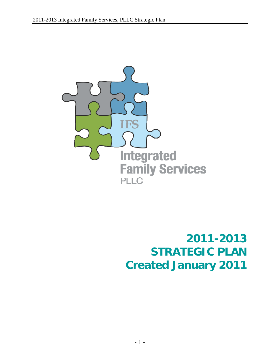

**2011-2013 STRATEGIC PLAN Created January 2011**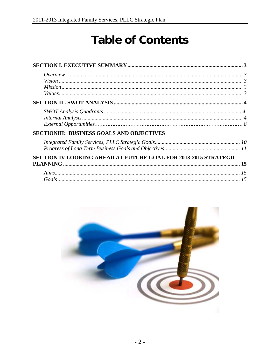# **Table of Contents**

| <b>SECTIONIII: BUSINESS GOALS AND OBJECTIVES</b>                |    |
|-----------------------------------------------------------------|----|
|                                                                 |    |
|                                                                 |    |
| SECTION IV LOOKING AHEAD AT FUTURE GOAL FOR 2013-2015 STRATEGIC |    |
|                                                                 |    |
|                                                                 | 15 |
|                                                                 |    |

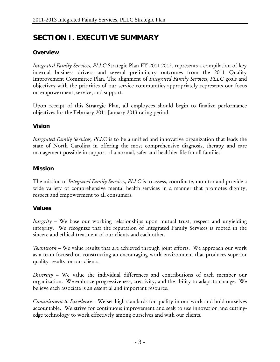# <span id="page-2-0"></span>**SECTION I. EXECUTIVE SUMMARY**

#### **Overview**

*Integrated Family Services, PLLC* Strategic Plan FY 2011-2013, represents a compilation of key internal business drivers and several preliminary outcomes from the 2011 Quality Improvement Committee Plan. The alignment of *Integrated Family Services, PLLC* goals and objectives with the priorities of our service communities appropriately represents our focus on empowerment, service, and support.

Upon receipt of this Strategic Plan, all employees should begin to finalize performance objectives for the February 2011-January 2013 rating period.

#### **Vision**

*Integrated Family Services, PLLC* is to be a unified and innovative organization that leads the state of North Carolina in offering the most comprehensive diagnosis, therapy and care management possible in support of a normal, safer and healthier life for all families.

#### **Mission**

The mission of *Integrated Family Services, PLLC* is to assess, coordinate, monitor and provide a wide variety of comprehensive mental health services in a manner that promotes dignity, respect and empowerment to all consumers.

#### **Values**

*Integrity* – We base our working relationships upon mutual trust, respect and unyielding integrity. We recognize that the reputation of Integrated Family Services is rooted in the sincere and ethical treatment of our clients and each other.

*Teamwork* – We value results that are achieved through joint efforts. We approach our work as a team focused on constructing an encouraging work environment that produces superior quality results for our clients.

*Diversity* – We value the individual differences and contributions of each member our organization. We embrace progressiveness, creativity, and the ability to adapt to change. We believe each associate is an essential and important resource.

*Commitment to Excellence* – We set high standards for quality in our work and hold ourselves accountable. We strive for continuous improvement and seek to use innovation and cuttingedge technology to work effectively among ourselves and with our clients.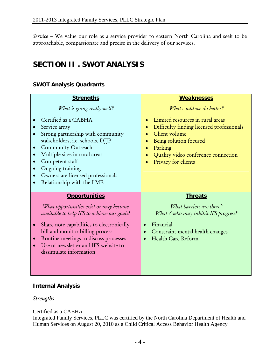<span id="page-3-0"></span>*Service* – We value our role as a service provider to eastern North Carolina and seek to be approachable, compassionate and precise in the delivery of our services.

# **SECTION II . SWOT ANALYSIS**

# **SWOT Analysis Quadrants**

| <b>Strengths</b>                                                                                                                                                                                                                                                                                                        | <b>Weaknesses</b>                                                                                                                                                                                              |
|-------------------------------------------------------------------------------------------------------------------------------------------------------------------------------------------------------------------------------------------------------------------------------------------------------------------------|----------------------------------------------------------------------------------------------------------------------------------------------------------------------------------------------------------------|
| What is going really well?                                                                                                                                                                                                                                                                                              | What could we do better?                                                                                                                                                                                       |
| Certified as a CABHA<br>Service array<br>Strong partnership with community<br>stakeholders, i.e. schools, DJJP<br>Community Outreach<br>$\bullet$<br>Multiple sites in rural areas<br>Competent staff<br>Ongoing training<br>Owners are licensed professionals<br>Relationship with the LME                             | Limited resources in rural areas<br>Difficulty finding licensed professionals<br>Client volume<br>Being solution focused<br>Parking<br>$\bullet$<br>Quality video conference connection<br>Privacy for clients |
| <b>Opportunities</b><br>What opportunities exist or may become<br>available to help IFS to achieve our goals?<br>Share note capabilities to electronically<br>$\bullet$<br>bill and monitor billing process<br>Routine meetings to discuss processes<br>Use of newsletter and IFS website to<br>dissimulate information | <b>Threats</b><br>What barriers are there?<br>What / who may inhibit IFS progress?<br>Financial<br>Constraint mental health changes<br>Health Care Reform                                                      |

# **Internal Analysis**

#### *Strengths*

#### Certified as a CABHA

Integrated Family Services, PLLC was certified by the North Carolina Department of Health and Human Services on August 20, 2010 as a Child Critical Access Behavior Health Agency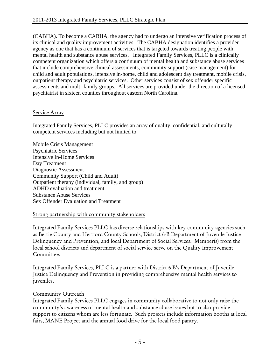(CABHA). To become a CABHA, the agency had to undergo an intensive verification process of its clinical and quality improvement activities. The CABHA designation identifies a provider agency as one that has a continuum of services that is targeted towards treating people with mental health and substance abuse services. Integrated Family Services, PLLC is a clinically competent organization which offers a continuum of mental health and substance abuse services that include comprehensive clinical assessments, community support (case management) for child and adult populations, intensive in-home, child and adolescent day treatment, mobile crisis, outpatient therapy and psychiatric services. Other services consist of sex offender specific assessments and multi-family groups. All services are provided under the direction of a licensed psychiatrist in sixteen counties throughout eastern North Carolina.

#### Service Array

Integrated Family Services, PLLC provides an array of quality, confidential, and culturally competent services including but not limited to:

Mobile Crisis Management Psychiatric Services Intensive In-Home Services Day Treatment Diagnostic Assessment Community Support (Child and Adult) Outpatient therapy (individual, family, and group) ADHD evaluation and treatment Substance Abuse Services Sex Offender Evaluation and Treatment

# Strong partnership with community stakeholders

Integrated Family Services PLLC has diverse relationships with key community agencies such as Bertie County and Hertford County Schools, District 6-B Department of Juvenile Justice Delinquency and Prevention, and local Department of Social Services. Member(s) from the local school districts and department of social service serve on the Quality Improvement Committee.

Integrated Family Services, PLLC is a partner with District 6-B's Department of Juvenile Justice Delinquency and Prevention in providing comprehensive mental health services to juveniles.

# Community Outreach

Integrated Family Services PLLC engages in community collaborative to not only raise the community's awareness of mental health and substance abuse issues but to also provide support to citizens whom are less fortunate. Such projects include information booths at local fairs, MANE Project and the annual food drive for the local food pantry.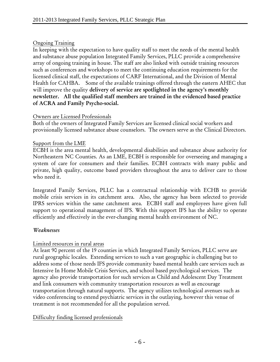# Ongoing Training

In keeping with the expectation to have quality staff to meet the needs of the mental health and substance abuse population Integrated Family Services, PLLC provide a comprehensive array of ongoing training in house. The staff are also linked with outside training resources such as conferences and workshops to meet the continuing education requirements for the licensed clinical staff, the expectations of CARF International, and the Division of Mental Health for CAHBA. Some of the available trainings offered through the eastern AHEC that will improve the quality delivery of service are spotlighted in the agency's monthly newsletter. All the qualified staff members are trained in the evidenced based practice of ACRA and Family Psycho-social.

#### Owners are Licensed Professionals

Both of the owners of Integrated Family Services are licensed clinical social workers and provisionally licensed substance abuse counselors. The owners serve as the Clinical Directors.

# Support from the LME

ECBH is the area mental health, developmental disabilities and substance abuse authority for Northeastern NC Counties. As an LME, ECBH is responsible for overseeing and managing a system of care for consumers and their families. ECBH contracts with many public and private, high quality, outcome based providers throughout the area to deliver care to those who need it.

Integrated Family Services, PLLC has a contractual relationship with ECHB to provide mobile crisis services in its catchment area. Also, the agency has been selected to provide IPRS services within the same catchment area. ECBH staff and employees have given full support to operational management of IFS. With this support IFS has the ability to operate efficiently and effectively in the ever-changing mental health environment of NC.

# *Weaknesses*

# Limited resources in rural areas

At least 90 percent of the 19 counties in which Integrated Family Services, PLLC serve are rural geographic locales. Extending services to such a vast geographic is challenging but to address some of those needs IFS provide community based mental health care services such as Intensive In Home Mobile Crisis Services, and school based psychological services. The agency also provide transportation for such services as Child and Adolescent Day Treatment and link consumers with community transportation resources as well as encourage transportation through natural supports. The agency utilizes technological avenues such as video conferencing to extend psychiatric services in the outlaying, however this venue of treatment is not recommended for all the population served.

# Difficulty finding licensed professionals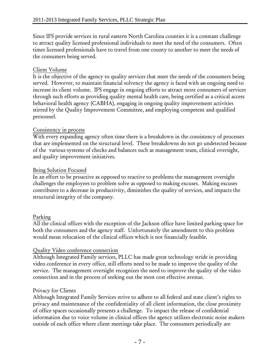Since IFS provide services in rural eastern North Carolina counties it is a constant challenge to attract quality licensed professional individuals to meet the need of the consumers. Often times licensed professionals have to travel from one county to another to meet the needs of the consumers being served.

# Client Volume

It is the objective of the agency to quality services that meet the needs of the consumers being served. However, to maintain financial solvency the agency is faced with an ongoing need to increase its client volume. IFS engage in ongoing efforts to attract more consumers of services through such efforts as providing quality mental health care, being certified as a critical access behavioral health agency (CABHA), engaging in ongoing quality improvement activities stirred by the Quality Improvement Committee, and employing competent and qualified personnel.

# Consistency in process

With every expanding agency often time there is a breakdown in the consistency of processes that are implemented on the structural level. These breakdowns do not go undetected because of the various systems of checks and balances such as management team, clinical oversight, and quality improvement initiatives.

# Being Solution Focused

In an effort to be proactive as opposed to reactive to problems the management oversight challenges the employees to problem solve as opposed to making excuses. Making excuses contributes to a decrease in productivity, diminishes the quality of services, and impacts the structural integrity of the company.

# Parking

All the clinical offices with the exception of the Jackson office have limited parking space for both the consumers and the agency staff. Unfortunately the amendment to this problem would mean relocation of the clinical offices which is not financially feasible.

# Quality Video conference connection

Although Integrated Family services, PLLC has made great technology stride in providing video conference in every office, still efforts need to be made to improve the quality of the service. The management oversight recognizes the need to improve the quality of the video connection and in the process of seeking out the most cost effective avenue.

# Privacy for Clients

Although Integrated Family Services strive to adhere to all federal and state client's rights to privacy and maintenance of the confidentiality of all client information, the close proximity of office spaces occasionally presents a challenge. To impact the release of confidential information due to voice volume in clinical offices the agency utilizes electronic noise makers outside of each office where client meetings take place. The consumers periodically are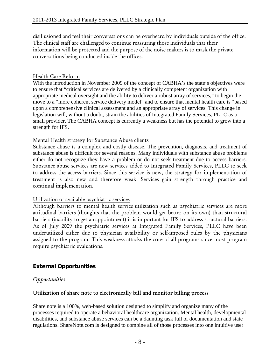disillusioned and feel their conversations can be overheard by individuals outside of the office. The clinical staff are challenged to continue reassuring those individuals that their information will be protected and the purpose of the noise makers is to mask the private conversations being conducted inside the offices.

#### Health Care Reform

With the introduction in November 2009 of the concept of CABHA's the state's objectives were to ensure that "critical services are delivered by a clinically competent organization with appropriate medical oversight and the ability to deliver a robust array of services," to begin the move to a "more coherent service delivery model" and to ensure that mental health care is "based upon a comprehensive clinical assessment and an appropriate array of services. This change in legislation will, without a doubt, strain the abilities of Integrated Family Services, PLLC as a small provider. The CABHA concept is currently a weakness but has the potential to grow into a strength for IFS.

#### Mental Health strategy for Substance Abuse clients

Substance abuse is a complex and costly disease. The prevention, diagnosis, and treatment of substance abuse is difficult for several reasons. Many individuals with substance abuse problems either do not recognize they have a problem or do not seek treatment due to access barriers. Substance abuse services are new services added to Integrated Family Services, PLLC to seek to address the access barriers. Since this service is new, the strategy for implementation of treatment is also new and therefore weak. Services gain strength through practice and continual implementation.

#### Utilization of available psychiatric services

Although barriers to mental health service utilization such as psychiatric services are more attitudinal barriers (thoughts that the problem would get better on its own) than structural barriers (inability to get an appointment) it is important for IFS to address structural barriers. As of July 2009 the psychiatric services at Integrated Family Services, PLLC have been underutilized either due to physician availability or self-imposed rules by the physicians assigned to the program. This weakness attacks the core of all programs since most program require psychiatric evaluations.

# **External Opportunities**

#### *Opportunities*

#### Utilization of share note to electronically bill and monitor billing process

Share note is a 100%, web-based solution designed to simplify and organize many of the processes required to operate a behavioral healthcare organization. Mental health, developmental disabilities, and substance abuse services can be a daunting task full of documentation and state regulations. ShareNote.com is designed to combine all of those processes into one intuitive user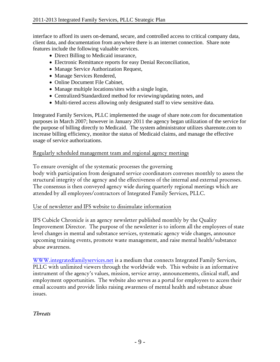interface to afford its users on-demand, secure, and controlled access to critical company data, client data, and documentation from anywhere there is an internet connection. Share note features include the following valuable services.

- Direct Billing to Medicaid insurance,
- Electronic Remittance reports for easy Denial Reconciliation,
- Manage Service Authorization Request,
- Manage Services Rendered,
- Online Document File Cabinet,
- Manage multiple locations/sites with a single login,
- Centralized/Standardized method for reviewing/updating notes, and
- Multi-tiered access allowing only designated staff to view sensitive data.

Integrated Family Services, PLLC implemented the usage of share note.com for documentation purposes in March 2007; however in January 2011 the agency began utilization of the service for the purpose of billing directly to Medicaid. The system administrator utilizes sharenote.com to increase billing efficiency, monitor the status of Medicaid claims, and manage the effective usage of service authorizations.

#### Regularly scheduled management team and regional agency meetings

To ensure oversight of the systematic processes the governing

body with participation from designated service coordinators convenes monthly to assess the structural integrity of the agency and the effectiveness of the internal and external processes. The consensus is then conveyed agency wide during quarterly regional meetings which are attended by all employees/contractors of Integrated Family Services, PLLC.

#### Use of newsletter and IFS website to dissimulate information

IFS Cubicle Chronicle is an agency newsletter published monthly by the Quality Improvement Director. The purpose of the newsletter is to inform all the employees of state level changes in mental and substance services, systematic agency wide changes, announce upcoming training events, promote waste management, and raise mental health/substance abuse awareness.

[WWW.integratedfamilyservices.net](http://www.integratedfamilyservices.net/) is a medium that connects Integrated Family Services, PLLC with unlimited viewers through the worldwide web. This website is an informative instrument of the agency's values, mission, service array, announcements, clinical staff, and employment opportunities. The website also serves as a portal for employees to access their email accounts and provide links raising awareness of mental health and substance abuse issues.

*Threats*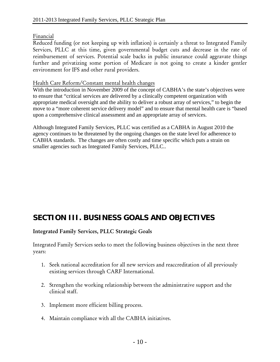# Financial

Reduced funding (or not keeping up with inflation) is certainly a threat to Integrated Family Services, PLLC at this time, given governmental budget cuts and decrease in the rate of reimbursement of services. Potential scale backs in public insurance could aggravate things further and privatizing some portion of Medicare is not going to create a kinder gentler environment for IFS and other rural providers.

#### Health Care Reform/Constant mental health changes

With the introduction in November 2009 of the concept of CABHA's the state's objectives were to ensure that "critical services are delivered by a clinically competent organization with appropriate medical oversight and the ability to deliver a robust array of services," to begin the move to a "more coherent service delivery model" and to ensure that mental health care is "based upon a comprehensive clinical assessment and an appropriate array of services.

Although Integrated Family Services, PLLC was certified as a CABHA in August 2010 the agency continues to be threatened by the ongoing changes on the state level for adherence to CABHA standards. The changes are often costly and time specific which puts a strain on smaller agencies such as Integrated Family Services, PLLC..

# **SECTION III. BUSINESS GOALS AND OBJECTIVES**

# Integrated Family Services, PLLC Strategic Goals

Integrated Family Services seeks to meet the following business objectives in the next three years:

- 1. Seek national accreditation for all new services and reaccreditation of all previously existing services through CARF International.
- 2. Strengthen the working relationship between the administrative support and the clinical staff.
- 3. Implement more efficient billing process.
- 4. Maintain compliance with all the CABHA initiatives.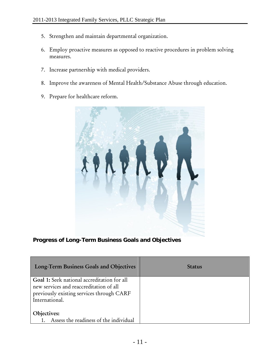- 5. Strengthen and maintain departmental organization.
- 6. Employ proactive measures as opposed to reactive procedures in problem solving measures.
- 7. Increase partnership with medical providers.
- 8. Improve the awareness of Mental Health/Substance Abuse through education.
- 9. Prepare for healthcare reform.



**Progress of Long-Term Business Goals and Objectives** 

| Long-Term Business Goals and Objectives                                                                                                               | <b>Status</b> |
|-------------------------------------------------------------------------------------------------------------------------------------------------------|---------------|
| Goal 1: Seek national accreditation for all<br>new services and reaccreditation of all<br>previously existing services through CARF<br>International. |               |
| Objectives:<br>Assess the readiness of the individual                                                                                                 |               |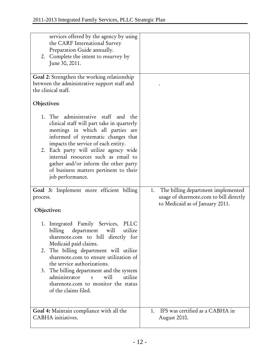| services offered by the agency by using<br>the CARF International Survey<br>Preparation Guide annually.<br>2. Complete the intent to resurvey by<br>June 30, 2011.                                                                                                                                                                                                                                                                          |                                                                                                                        |
|---------------------------------------------------------------------------------------------------------------------------------------------------------------------------------------------------------------------------------------------------------------------------------------------------------------------------------------------------------------------------------------------------------------------------------------------|------------------------------------------------------------------------------------------------------------------------|
| Goal 2: Strengthen the working relationship<br>between the administrative support staff and<br>the clinical staff.                                                                                                                                                                                                                                                                                                                          |                                                                                                                        |
| Objectives:                                                                                                                                                                                                                                                                                                                                                                                                                                 |                                                                                                                        |
| 1. The administrative staff and the<br>clinical staff will part take in quarterly<br>meetings in which all parties are<br>informed of systematic changes that<br>impacts the service of each entity.<br>2. Each party will utilize agency wide<br>internal resources such as email to<br>gather and/or inform the other party<br>of business matters pertinent to their<br>job performance.                                                 |                                                                                                                        |
| Goal 3: Implement more efficient billing<br>process.<br>Objectives:                                                                                                                                                                                                                                                                                                                                                                         | The billing department implemented<br>1.<br>usage of sharenote.com to bill directly<br>to Medicaid as of January 2011. |
| 1. Integrated Family Services,<br>PLLC<br>billing department<br>will<br>utilize<br>sharenote.com to bill directly for<br>Medicaid paid claims.<br>2. The billing department will utilize<br>sharenote.com to ensure utilization of<br>the service authorizations.<br>3. The billing department and the system<br>administrator<br>will<br>utilize<br>$\overline{\mathbf{s}}$<br>sharenote.com to monitor the status<br>of the claims filed. |                                                                                                                        |
| Goal 4: Maintain compliance with all the<br>CABHA initiatives.                                                                                                                                                                                                                                                                                                                                                                              | IFS was certified as a CABHA in<br>1.<br>August 2010.                                                                  |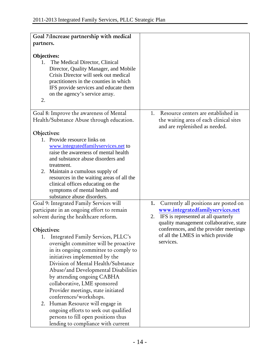| Goal 7: Increase partnership with medical                                                                                                                                                                                                                                                                                                                                                                                                                                                                                        |                                                                           |
|----------------------------------------------------------------------------------------------------------------------------------------------------------------------------------------------------------------------------------------------------------------------------------------------------------------------------------------------------------------------------------------------------------------------------------------------------------------------------------------------------------------------------------|---------------------------------------------------------------------------|
| partners.                                                                                                                                                                                                                                                                                                                                                                                                                                                                                                                        |                                                                           |
|                                                                                                                                                                                                                                                                                                                                                                                                                                                                                                                                  |                                                                           |
| <b>Objectives:</b><br>The Medical Director, Clinical<br>1.<br>Director, Quality Manager, and Mobile<br>Crisis Director will seek out medical<br>practitioners in the counties in which<br>IFS provide services and educate them<br>on the agency's service array.<br>2.                                                                                                                                                                                                                                                          |                                                                           |
|                                                                                                                                                                                                                                                                                                                                                                                                                                                                                                                                  | Resource centers are established in<br>1.                                 |
| Goal 8: Improve the awareness of Mental<br>Health/Substance Abuse through education.                                                                                                                                                                                                                                                                                                                                                                                                                                             | the waiting area of each clinical sites<br>and are replenished as needed. |
| Objectives:                                                                                                                                                                                                                                                                                                                                                                                                                                                                                                                      |                                                                           |
| 1. Provide resource links on<br>www.integratedfamilyservices.net to<br>raise the awareness of mental health<br>and substance abuse disorders and<br>treatment.<br>2. Maintain a cumulous supply of<br>resources in the waiting areas of all the<br>clinical offices educating on the<br>symptoms of mental health and<br>substance abuse disorders.                                                                                                                                                                              |                                                                           |
| Goal 9: Integrated Family Services will                                                                                                                                                                                                                                                                                                                                                                                                                                                                                          | Currently all positions are posted on<br>1.                               |
| participate in an ongoing effort to remain                                                                                                                                                                                                                                                                                                                                                                                                                                                                                       | www.integratedfamilyservices.net                                          |
| solvent during the healthcare reform.                                                                                                                                                                                                                                                                                                                                                                                                                                                                                            | IFS is represented at all quarterly<br>2.                                 |
|                                                                                                                                                                                                                                                                                                                                                                                                                                                                                                                                  | quality management collaborative, state                                   |
| Objectives:                                                                                                                                                                                                                                                                                                                                                                                                                                                                                                                      | conferences, and the provider meetings                                    |
| 1. Integrated Family Services, PLLC's<br>oversight committee will be proactive<br>in its ongoing committee to comply to<br>initiatives implemented by the<br>Division of Mental Health/Substance<br>Abuse/and Developmental Disabilities<br>by attending ongoing CABHA<br>collaborative, LME sponsored<br>Provider meetings, state initiated<br>conferences/workshops.<br>2. Human Resource will engage in<br>ongoing efforts to seek out qualified<br>persons to fill open positions thus<br>lending to compliance with current | of all the LMES in which provide<br>services.                             |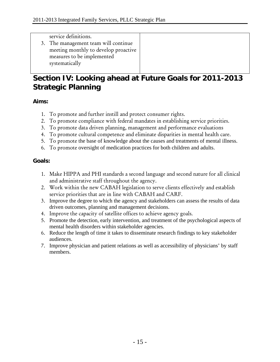service definitions.

3. The management team will continue meeting monthly to develop proactive measures to be implemented systematically

# **Section IV: Looking ahead at Future Goals for 2011-2013 Strategic Planning**

# **Aims:**

- 1. To promote and further instill and protect consumer rights.
- 2. To promote compliance with federal mandates in establishing service priorities.
- 3. To promote data driven planning, management and performance evaluations
- 4. To promote cultural competence and eliminate disparities in mental health care.
- 5. To promote the base of knowledge about the causes and treatments of mental illness.
- 6. To promote oversight of medication practices for both children and adults.

# **Goals:**

- 1. Make HIPPA and PHI standards a second language and second nature for all clinical and administrative staff throughout the agency.
- 2. Work within the new CABAH legislation to serve clients effectively and establish service priorities that are in line with CABAH and CARF.
- 3. Improve the degree to which the agency and stakeholders can assess the results of data driven outcomes, planning and management decisions.
- 4. Improve the capacity of satellite offices to achieve agency goals.
- 5. Promote the detection, early intervention, and treatment of the psychological aspects of mental health disorders within stakeholder agencies.
- 6. Reduce the length of time it takes to disseminate research findings to key stakeholder audiences.
- 7. Improve physician and patient relations as well as accessibility of physicians' by staff members.